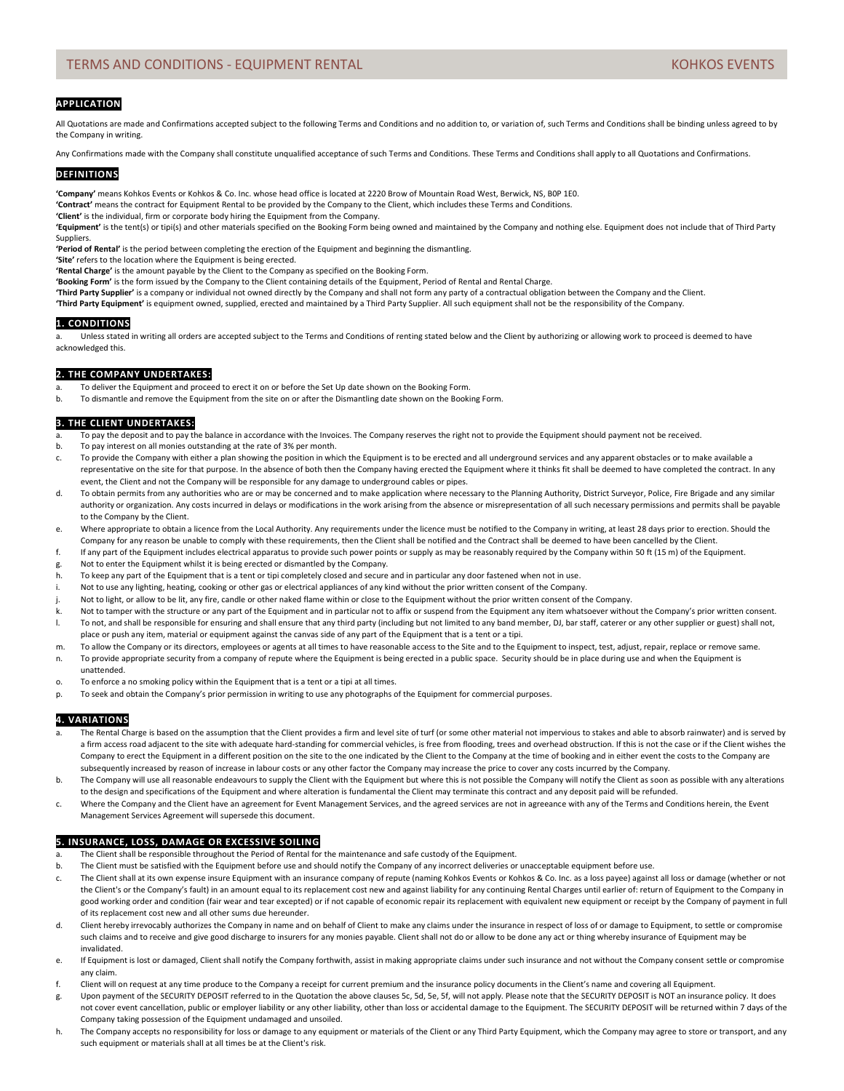# **APPLICATION**

All Quotations are made and Confirmations accepted subject to the following Terms and Conditions and no addition to, or variation of, such Terms and Conditions shall be binding unless agreed to by the Company in writing.

Any Confirmations made with the Company shall constitute unqualified acceptance of such Terms and Conditions. These Terms and Conditions shall apply to all Quotations and Confirmations.

### **DEFINITIONS**

**'Company'** means Kohkos Events or Kohkos & Co. Inc. whose head office is located at 2220 Brow of Mountain Road West, Berwick, NS, B0P 1E0.

**'Contract'** means the contract for Equipment Rental to be provided by the Company to the Client, which includes these Terms and Conditions.

**'Client'** is the individual, firm or corporate body hiring the Equipment from the Company.

**'Equipment'** is the tent(s) or tipi(s) and other materials specified on the Booking Form being owned and maintained by the Company and nothing else. Equipment does not include that of Third Party Suppliers.

**'Period of Rental'** is the period between completing the erection of the Equipment and beginning the dismantling.

**'Site'** refers to the location where the Equipment is being erected.

**'Rental Charge'** is the amount payable by the Client to the Company as specified on the Booking Form.

**'Booking Form'** is the form issued by the Company to the Client containing details of the Equipment, Period of Rental and Rental Charge.

**'Third Party Supplier'** is a company or individual not owned directly by the Company and shall not form any party of a contractual obligation between the Company and the Client.

**'Third Party Equipment'** is equipment owned, supplied, erected and maintained by a Third Party Supplier. All such equipment shall not be the responsibility of the Company.

## **1. CONDITIONS**

a. Unless stated in writing all orders are accepted subject to the Terms and Conditions of renting stated below and the Client by authorizing or allowing work to proceed is deemed to have acknowledged this.

## **2. THE COMPANY UNDERTAKES:**

To deliver the Equipment and proceed to erect it on or before the Set Up date shown on the Booking Form.

b. To dismantle and remove the Equipment from the site on or after the Dismantling date shown on the Booking Form.

# **3. THE CLIENT UNDERTAKES:**

- To pay the deposit and to pay the balance in accordance with the Invoices. The Company reserves the right not to provide the Equipment should payment not be received.
- b. To pay interest on all monies outstanding at the rate of 3% per month.
- c. To provide the Company with either a plan showing the position in which the Equipment is to be erected and all underground services and any apparent obstacles or to make available a representative on the site for that purpose. In the absence of both then the Company having erected the Equipment where it thinks fit shall be deemed to have completed the contract. In any event, the Client and not the Company will be responsible for any damage to underground cables or pipes.
- d. To obtain permits from any authorities who are or may be concerned and to make application where necessary to the Planning Authority, District Surveyor, Police, Fire Brigade and any similar authority or organization. Any costs incurred in delays or modifications in the work arising from the absence or misrepresentation of all such necessary permissions and permits shall be payable to the Company by the Client.
- e. Where appropriate to obtain a licence from the Local Authority. Any requirements under the licence must be notified to the Company in writing, at least 28 days prior to erection. Should the Company for any reason be unable to comply with these requirements, then the Client shall be notified and the Contract shall be deemed to have been cancelled by the Client.
- f. If any part of the Equipment includes electrical apparatus to provide such power points or supply as may be reasonably required by the Company within 50 ft (15 m) of the Equipment.
- g. Not to enter the Equipment whilst it is being erected or dismantled by the Company.
- h. To keep any part of the Equipment that is a tent or tipi completely closed and secure and in particular any door fastened when not in use.
- i. Not to use any lighting, heating, cooking or other gas or electrical appliances of any kind without the prior written consent of the Company.
- 
- j. Not to light, or allow to be lit, any fire, candle or other naked flame within or close to the Equipment without the prior written consent of the Company.<br>K. Not to tamper with the structure or any part of the Equipment Not to tamper with the structure or any part of the Equipment and in particular not to affix or suspend from the Equipment any item whatsoever without the Company's prior written consent.
- l. To not, and shall be responsible for ensuring and shall ensure that any third party (including but not limited to any band member, DJ, bar staff, caterer or any other supplier or guest) shall not, place or push any item, material or equipment against the canvas side of any part of the Equipment that is a tent or a tipi.
- m. To allow the Company or its directors, employees or agents at all times to have reasonable access to the Site and to the Equipment to inspect, test, adjust, repair, replace or remove same.
- n. To provide appropriate security from a company of repute where the Equipment is being erected in a public space. Security should be in place during use and when the Equipment is unattended.
- o. To enforce a no smoking policy within the Equipment that is a tent or a tipi at all times.
- p. To seek and obtain the Company's prior permission in writing to use any photographs of the Equipment for commercial purposes.

## **4. VARIATIONS**

- a. The Rental Charge is based on the assumption that the Client provides a firm and level site of turf (or some other material not impervious to stakes and able to absorb rainwater) and is served by a firm access road adjacent to the site with adequate hard-standing for commercial vehicles, is free from flooding, trees and overhead obstruction. If this is not the case or if the Client wishes the Company to erect the Equipment in a different position on the site to the one indicated by the Client to the Company at the time of booking and in either event the costs to the Company are subsequently increased by reason of increase in labour costs or any other factor the Company may increase the price to cover any costs incurred by the Company.
- b. The Company will use all reasonable endeavours to supply the Client with the Equipment but where this is not possible the Company will notify the Client as soon as possible with any alterations to the design and specifications of the Equipment and where alteration is fundamental the Client may terminate this contract and any deposit paid will be refunded.
- c. Where the Company and the Client have an agreement for Event Management Services, and the agreed services are not in agreeance with any of the Terms and Conditions herein, the Event Management Services Agreement will supersede this document.

## **5. INSURANCE, LOSS, DAMAGE OR EXCESSIVE SOILING**

- The Client shall be responsible throughout the Period of Rental for the maintenance and safe custody of the Equipment.
- b. The Client must be satisfied with the Equipment before use and should notify the Company of any incorrect deliveries or unacceptable equipment before use.
- c. The Client shall at its own expense insure Equipment with an insurance company of repute (naming Kohkos Events or Kohkos & Co. Inc. as a loss payee) against all loss or damage (whether or not the Client's or the Company's fault) in an amount equal to its replacement cost new and against liability for any continuing Rental Charges until earlier of: return of Equipment to the Company in good working order and condition (fair wear and tear excepted) or if not capable of economic repair its replacement with equivalent new equipment or receipt by the Company of payment in full of its replacement cost new and all other sums due hereunder.
- d. Client hereby irrevocably authorizes the Company in name and on behalf of Client to make any claims under the insurance in respect of loss of or damage to Equipment, to settle or compromise such claims and to receive and give good discharge to insurers for any monies payable. Client shall not do or allow to be done any act or thing whereby insurance of Equipment may be invalidated.
- e. If Equipment is lost or damaged, Client shall notify the Company forthwith, assist in making appropriate claims under such insurance and not without the Company consent settle or compromise any claim.
- f. Client will on request at any time produce to the Company a receipt for current premium and the insurance policy documents in the Client's name and covering all Equipment.
- g. Upon payment of the SECURITY DEPOSIT referred to in the Quotation the above clauses 5c, 5d, 5e, 5f, will not apply. Please note that the SECURITY DEPOSIT is NOT an insurance policy. It does not cover event cancellation, public or employer liability or any other liability, other than loss or accidental damage to the Equipment. The SECURITY DEPOSIT will be returned within 7 days of the Company taking possession of the Equipment undamaged and unsoiled.
- h. The Company accepts no responsibility for loss or damage to any equipment or materials of the Client or any Third Party Equipment, which the Company may agree to store or transport, and any such equipment or materials shall at all times be at the Client's risk.